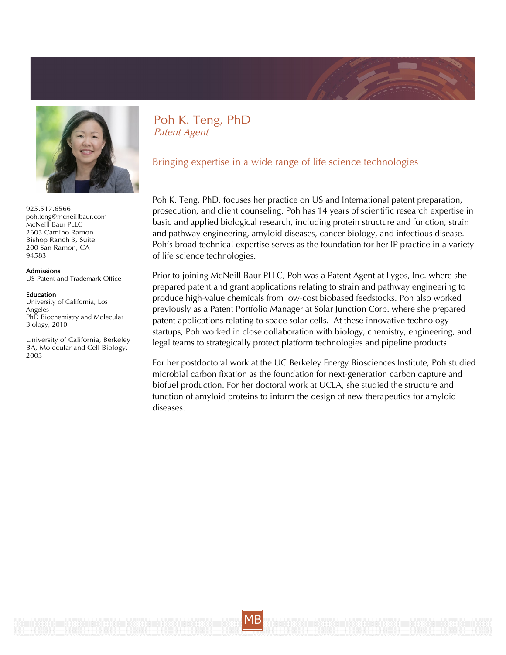



925.517.6566 [poh.teng@mcneillbaur.com](mailto:poh.teng@mcneillbaur.com) McNeill Baur PLLC 2603 Camino Ramon Bishop Ranch 3, Suite 200 San Ramon, CA 94583

## Admissions

US Patent and Trademark Office

## Education

University of California, Los Angeles PhD Biochemistry and Molecular Biology, 2010

University of California, Berkeley BA, Molecular and Cell Biology, 2003

Poh K. Teng, PhD Patent Agent

Bringing expertise in a wide range of life science technologies

Poh K. Teng, PhD, focuses her practice on US and International patent preparation, prosecution, and client counseling. Poh has 14 years of scientific research expertise in basic and applied biological research, including protein structure and function, strain and pathway engineering, amyloid diseases, cancer biology, and infectious disease. Poh's broad technical expertise serves as the foundation for her IP practice in a variety of life science technologies.

Prior to joining McNeill Baur PLLC, Poh was a Patent Agent at Lygos, Inc. where she prepared patent and grant applications relating to strain and pathway engineering to produce high-value chemicals from low-cost biobased feedstocks. Poh also worked previously as a Patent Portfolio Manager at Solar Junction Corp. where she prepared patent applications relating to space solar cells. At these innovative technology startups, Poh worked in close collaboration with biology, chemistry, engineering, and legal teams to strategically protect platform technologies and pipeline products.

For her postdoctoral work at the UC Berkeley Energy Biosciences Institute, Poh studied microbial carbon fixation as the foundation for next-generation carbon capture and biofuel production. For her doctoral work at UCLA, she studied the structure and function of amyloid proteins to inform the design of new therapeutics for amyloid diseases.